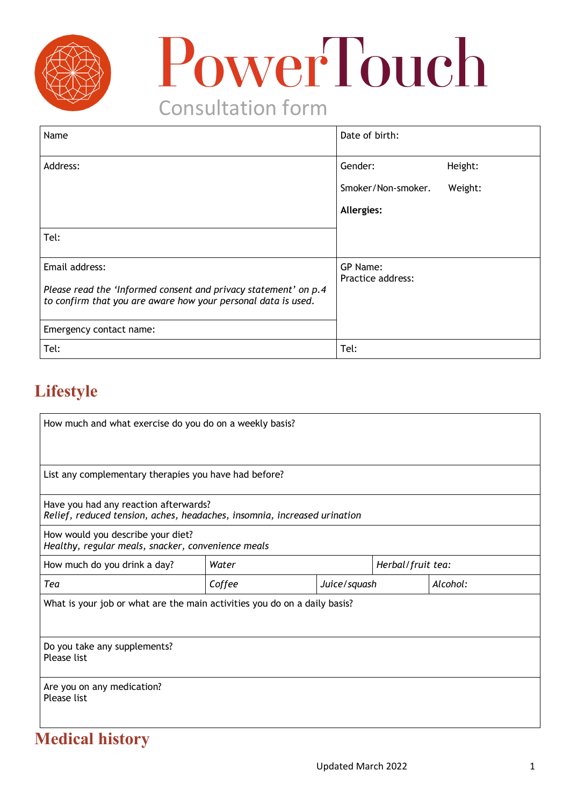

# PowerTouch

## Consultation form

| Name                                                                                                                                               | Date of birth:                |         |
|----------------------------------------------------------------------------------------------------------------------------------------------------|-------------------------------|---------|
| Address:                                                                                                                                           | Gender:                       | Height: |
|                                                                                                                                                    | Smoker/Non-smoker.            | Weight: |
|                                                                                                                                                    | Allergies:                    |         |
| Tel:                                                                                                                                               |                               |         |
| Email address:<br>Please read the 'Informed consent and privacy statement' on p.4<br>to confirm that you are aware how your personal data is used. | GP Name:<br>Practice address: |         |
| Emergency contact name:                                                                                                                            |                               |         |
| Tel:                                                                                                                                               | Tel:                          |         |

## **Lifestyle**

| How much and what exercise do you do on a weekly basis?                                                           |        |              |                   |          |
|-------------------------------------------------------------------------------------------------------------------|--------|--------------|-------------------|----------|
| List any complementary therapies you have had before?                                                             |        |              |                   |          |
| Have you had any reaction afterwards?<br>Relief, reduced tension, aches, headaches, insomnia, increased urination |        |              |                   |          |
| How would you describe your diet?<br>Healthy, regular meals, snacker, convenience meals                           |        |              |                   |          |
| How much do you drink a day?                                                                                      | Water  |              | Herbal/fruit tea: |          |
| Tea                                                                                                               | Coffee | Juice/squash |                   | Alcohol: |
| What is your job or what are the main activities you do on a daily basis?                                         |        |              |                   |          |
| Do you take any supplements?<br><b>Please list</b>                                                                |        |              |                   |          |
| Are you on any medication?<br>Please list                                                                         |        |              |                   |          |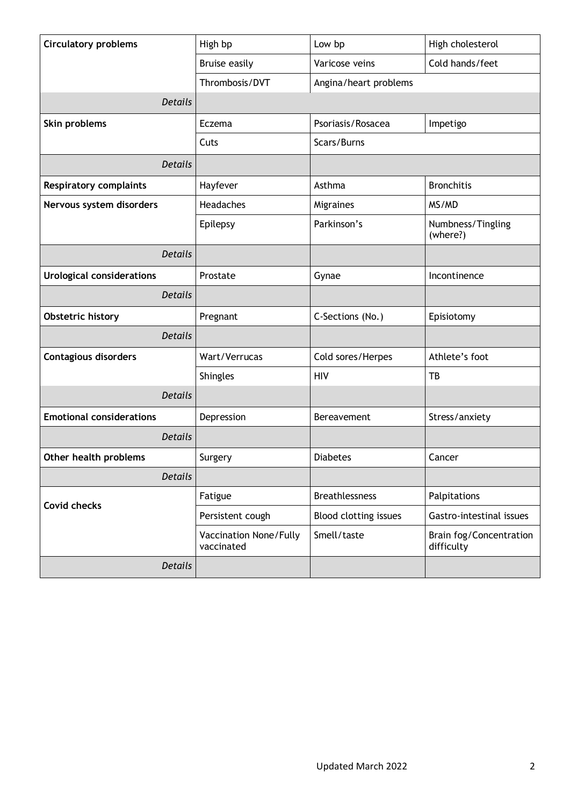| <b>Circulatory problems</b>      | High bp                              | Low bp                | High cholesterol                      |  |
|----------------------------------|--------------------------------------|-----------------------|---------------------------------------|--|
|                                  | <b>Bruise easily</b>                 | Varicose veins        | Cold hands/feet                       |  |
|                                  | Thrombosis/DVT                       | Angina/heart problems |                                       |  |
| <b>Details</b>                   |                                      |                       |                                       |  |
| Skin problems                    | Eczema                               | Psoriasis/Rosacea     | Impetigo                              |  |
|                                  | Cuts                                 | Scars/Burns           |                                       |  |
| <b>Details</b>                   |                                      |                       |                                       |  |
| <b>Respiratory complaints</b>    | Hayfever                             | Asthma                | <b>Bronchitis</b>                     |  |
| Nervous system disorders         | Headaches                            | Migraines             | MS/MD                                 |  |
|                                  | Epilepsy                             | Parkinson's           | Numbness/Tingling<br>(where?)         |  |
| <b>Details</b>                   |                                      |                       |                                       |  |
| <b>Urological considerations</b> | Prostate                             | Gynae                 | Incontinence                          |  |
| <b>Details</b>                   |                                      |                       |                                       |  |
| Obstetric history                | Pregnant                             | C-Sections (No.)      | Episiotomy                            |  |
| <b>Details</b>                   |                                      |                       |                                       |  |
| <b>Contagious disorders</b>      | Wart/Verrucas                        | Cold sores/Herpes     | Athlete's foot                        |  |
|                                  | Shingles                             | <b>HIV</b>            | TB                                    |  |
| <b>Details</b>                   |                                      |                       |                                       |  |
| <b>Emotional considerations</b>  | Depression                           | Bereavement           | Stress/anxiety                        |  |
| <b>Details</b>                   |                                      |                       |                                       |  |
| Other health problems            | Surgery                              | <b>Diabetes</b>       | Cancer                                |  |
| <b>Details</b>                   |                                      |                       |                                       |  |
| <b>Covid checks</b>              | Fatigue                              | <b>Breathlessness</b> | Palpitations                          |  |
|                                  | Persistent cough                     | Blood clotting issues | Gastro-intestinal issues              |  |
|                                  | Vaccination None/Fully<br>vaccinated | Smell/taste           | Brain fog/Concentration<br>difficulty |  |
| <b>Details</b>                   |                                      |                       |                                       |  |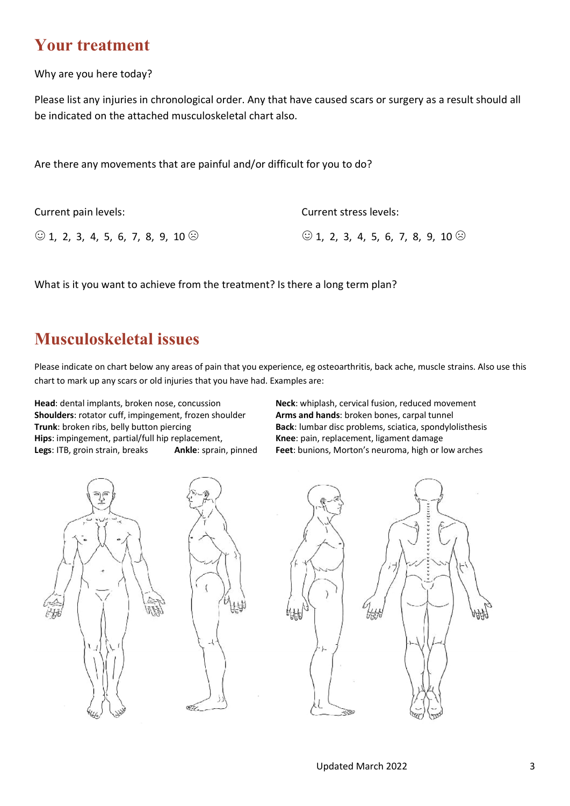#### **Your treatment**

Why are you here today?

Please list any injuries in chronological order. Any that have caused scars or surgery as a result should all be indicated on the attached musculoskeletal chart also.

Are there any movements that are painful and/or difficult for you to do?

| Current pain levels:                          | Current stress levels:                        |
|-----------------------------------------------|-----------------------------------------------|
| $\odot$ 1, 2, 3, 4, 5, 6, 7, 8, 9, 10 $\odot$ | $\odot$ 1, 2, 3, 4, 5, 6, 7, 8, 9, 10 $\odot$ |

What is it you want to achieve from the treatment? Is there a long term plan?

**ELLES** 

#### **Musculoskeletal issues**

Please indicate on chart below any areas of pain that you experience, eg osteoarthritis, back ache, muscle strains. Also use this chart to mark up any scars or old injuries that you have had. Examples are:

**Head**: dental implants, broken nose, concussion **Neck**: whiplash, cervical fusion, reduced movement **Shoulders**: rotator cuff, impingement, frozen shoulder **Arms and hands**: broken bones, carpal tunnel **Trunk**: broken ribs, belly button piercing **Back: lumbar disc problems**, sciatica, spondylolisthesis **Hips**: impingement, partial/full hip replacement, **Knee**: pain, replacement, ligament damage **Legs**: ITB, groin strain, breaks **Ankle**: sprain, pinned **Feet**: bunions, Morton's neuroma, high or low arches



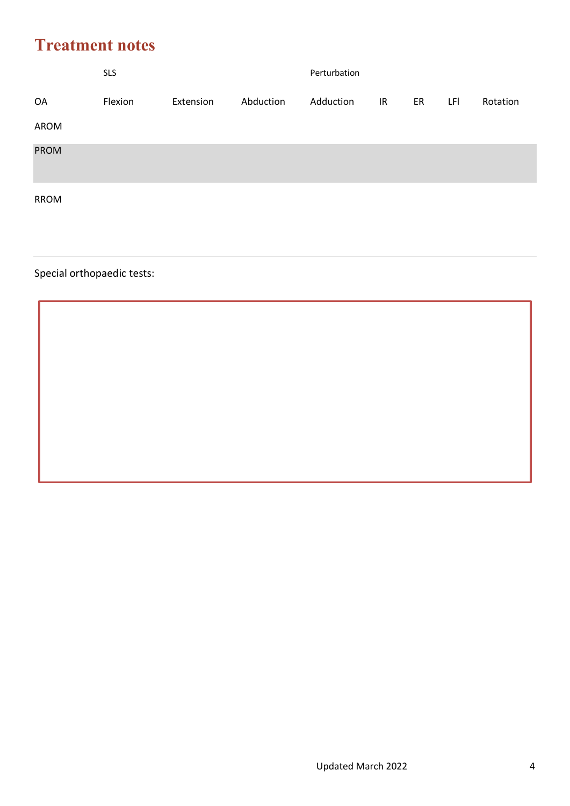## **Treatment notes**

|             | <b>SLS</b> |           |           | Perturbation |    |    |     |          |
|-------------|------------|-----------|-----------|--------------|----|----|-----|----------|
| OA          | Flexion    | Extension | Abduction | Adduction    | IR | ER | LFI | Rotation |
| AROM        |            |           |           |              |    |    |     |          |
| <b>PROM</b> |            |           |           |              |    |    |     |          |
| <b>RROM</b> |            |           |           |              |    |    |     |          |

#### Special orthopaedic tests: